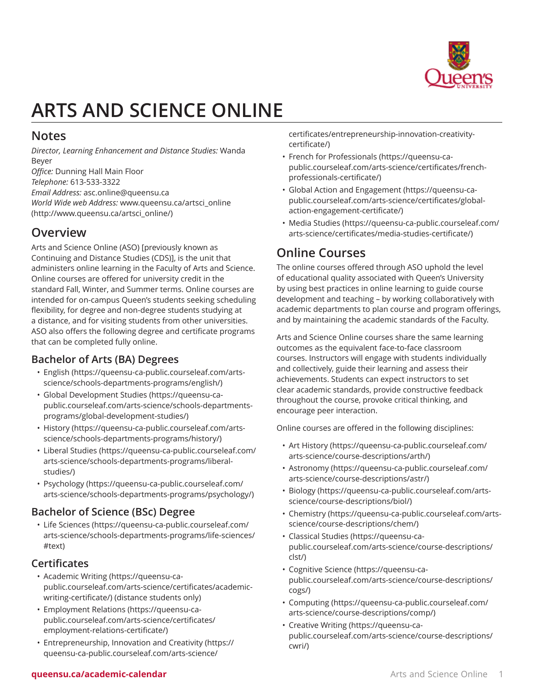

# **ARTS AND SCIENCE ONLINE**

### **Notes**

*Director, Learning Enhancement and Distance Studies:* Wanda Beyer *Office:* Dunning Hall Main Floor

*Telephone:* 613-533-3322 *Email Address:* [asc.online@queensu.ca](mailto:asc.online@queensu.ca) *World Wide web Address:* [www.queensu.ca/artsci\\_online](http://www.queensu.ca/artsci_online/) ([http://www.queensu.ca/artsci\\_online/\)](http://www.queensu.ca/artsci_online/)

### **Overview**

Arts and Science Online (ASO) [previously known as Continuing and Distance Studies (CDS)], is the unit that administers online learning in the Faculty of Arts and Science. Online courses are offered for university credit in the standard Fall, Winter, and Summer terms. Online courses are intended for on-campus Queen's students seeking scheduling flexibility, for degree and non-degree students studying at a distance, and for visiting students from other universities. ASO also offers the following degree and certificate programs that can be completed fully online.

#### **Bachelor of Arts (BA) Degrees**

- [English](https://queensu-ca-public.courseleaf.com/arts-science/schools-departments-programs/english/) ([https://queensu-ca-public.courseleaf.com/arts](https://queensu-ca-public.courseleaf.com/arts-science/schools-departments-programs/english/)[science/schools-departments-programs/english/\)](https://queensu-ca-public.courseleaf.com/arts-science/schools-departments-programs/english/)
- Global [Development](https://queensu-ca-public.courseleaf.com/arts-science/schools-departments-programs/global-development-studies/) Studies ([https://queensu-ca](https://queensu-ca-public.courseleaf.com/arts-science/schools-departments-programs/global-development-studies/)[public.courseleaf.com/arts-science/schools-departments](https://queensu-ca-public.courseleaf.com/arts-science/schools-departments-programs/global-development-studies/)[programs/global-development-studies/\)](https://queensu-ca-public.courseleaf.com/arts-science/schools-departments-programs/global-development-studies/)
- [History](https://queensu-ca-public.courseleaf.com/arts-science/schools-departments-programs/history/) ([https://queensu-ca-public.courseleaf.com/arts](https://queensu-ca-public.courseleaf.com/arts-science/schools-departments-programs/history/)[science/schools-departments-programs/history/\)](https://queensu-ca-public.courseleaf.com/arts-science/schools-departments-programs/history/)
- Liberal [Studies](https://queensu-ca-public.courseleaf.com/arts-science/schools-departments-programs/liberal-studies/) [\(https://queensu-ca-public.courseleaf.com/](https://queensu-ca-public.courseleaf.com/arts-science/schools-departments-programs/liberal-studies/) [arts-science/schools-departments-programs/liberal](https://queensu-ca-public.courseleaf.com/arts-science/schools-departments-programs/liberal-studies/)[studies/](https://queensu-ca-public.courseleaf.com/arts-science/schools-departments-programs/liberal-studies/))
- [Psychology](https://queensu-ca-public.courseleaf.com/arts-science/schools-departments-programs/psychology/) ([https://queensu-ca-public.courseleaf.com/](https://queensu-ca-public.courseleaf.com/arts-science/schools-departments-programs/psychology/) [arts-science/schools-departments-programs/psychology/\)](https://queensu-ca-public.courseleaf.com/arts-science/schools-departments-programs/psychology/)

#### **Bachelor of Science (BSc) Degree**

• [Life Sciences](https://queensu-ca-public.courseleaf.com/arts-science/schools-departments-programs/life-sciences/#text) [\(https://queensu-ca-public.courseleaf.com/](https://queensu-ca-public.courseleaf.com/arts-science/schools-departments-programs/life-sciences/#text) [arts-science/schools-departments-programs/life-sciences/](https://queensu-ca-public.courseleaf.com/arts-science/schools-departments-programs/life-sciences/#text) [#text\)](https://queensu-ca-public.courseleaf.com/arts-science/schools-departments-programs/life-sciences/#text)

#### **Certificates**

- [Academic](https://queensu-ca-public.courseleaf.com/arts-science/certificates/academic-writing-certificate/) Writing ([https://queensu-ca](https://queensu-ca-public.courseleaf.com/arts-science/certificates/academic-writing-certificate/)[public.courseleaf.com/arts-science/certificates/academic](https://queensu-ca-public.courseleaf.com/arts-science/certificates/academic-writing-certificate/)[writing-certificate/](https://queensu-ca-public.courseleaf.com/arts-science/certificates/academic-writing-certificate/)) (distance students only)
- [Employment](https://queensu-ca-public.courseleaf.com/arts-science/certificates/employment-relations-certificate/) Relations ([https://queensu-ca](https://queensu-ca-public.courseleaf.com/arts-science/certificates/employment-relations-certificate/)[public.courseleaf.com/arts-science/certificates/](https://queensu-ca-public.courseleaf.com/arts-science/certificates/employment-relations-certificate/) [employment-relations-certificate/\)](https://queensu-ca-public.courseleaf.com/arts-science/certificates/employment-relations-certificate/)
- [Entrepreneurship,](https://queensu-ca-public.courseleaf.com/arts-science/certificates/entrepreneurship-innovation-creativity-certificate/) Innovation and Creativity ([https://](https://queensu-ca-public.courseleaf.com/arts-science/certificates/entrepreneurship-innovation-creativity-certificate/) [queensu-ca-public.courseleaf.com/arts-science/](https://queensu-ca-public.courseleaf.com/arts-science/certificates/entrepreneurship-innovation-creativity-certificate/)

[certificates/entrepreneurship-innovation-creativity](https://queensu-ca-public.courseleaf.com/arts-science/certificates/entrepreneurship-innovation-creativity-certificate/)[certificate/\)](https://queensu-ca-public.courseleaf.com/arts-science/certificates/entrepreneurship-innovation-creativity-certificate/)

- French for [Professionals](https://queensu-ca-public.courseleaf.com/arts-science/certificates/french-professionals-certificate/) [\(https://queensu-ca](https://queensu-ca-public.courseleaf.com/arts-science/certificates/french-professionals-certificate/)[public.courseleaf.com/arts-science/certificates/french](https://queensu-ca-public.courseleaf.com/arts-science/certificates/french-professionals-certificate/)[professionals-certificate/\)](https://queensu-ca-public.courseleaf.com/arts-science/certificates/french-professionals-certificate/)
- [Global Action and Engagement](https://queensu-ca-public.courseleaf.com/arts-science/certificates/global-action-engagement-certificate/) [\(https://queensu-ca](https://queensu-ca-public.courseleaf.com/arts-science/certificates/global-action-engagement-certificate/)[public.courseleaf.com/arts-science/certificates/global](https://queensu-ca-public.courseleaf.com/arts-science/certificates/global-action-engagement-certificate/)[action-engagement-certificate/\)](https://queensu-ca-public.courseleaf.com/arts-science/certificates/global-action-engagement-certificate/)
- [Media Studies](https://queensu-ca-public.courseleaf.com/arts-science/certificates/media-studies-certificate/) [\(https://queensu-ca-public.courseleaf.com/](https://queensu-ca-public.courseleaf.com/arts-science/certificates/media-studies-certificate/) [arts-science/certificates/media-studies-certificate/\)](https://queensu-ca-public.courseleaf.com/arts-science/certificates/media-studies-certificate/)

# **Online Courses**

The online courses offered through ASO uphold the level of educational quality associated with Queen's University by using best practices in online learning to guide course development and teaching – by working collaboratively with academic departments to plan course and program offerings, and by maintaining the academic standards of the Faculty.

Arts and Science Online courses share the same learning outcomes as the equivalent face-to-face classroom courses. Instructors will engage with students individually and collectively, guide their learning and assess their achievements. Students can expect instructors to set clear academic standards, provide constructive feedback throughout the course, provoke critical thinking, and encourage peer interaction.

Online courses are offered in the following disciplines:

- [Art History](https://queensu-ca-public.courseleaf.com/arts-science/course-descriptions/arth/) [\(https://queensu-ca-public.courseleaf.com/](https://queensu-ca-public.courseleaf.com/arts-science/course-descriptions/arth/) [arts-science/course-descriptions/arth/\)](https://queensu-ca-public.courseleaf.com/arts-science/course-descriptions/arth/)
- [Astronomy](https://queensu-ca-public.courseleaf.com/arts-science/course-descriptions/astr/) [\(https://queensu-ca-public.courseleaf.com/](https://queensu-ca-public.courseleaf.com/arts-science/course-descriptions/astr/) [arts-science/course-descriptions/astr/](https://queensu-ca-public.courseleaf.com/arts-science/course-descriptions/astr/))
- [Biology](https://queensu-ca-public.courseleaf.com/arts-science/course-descriptions/biol/) ([https://queensu-ca-public.courseleaf.com/arts](https://queensu-ca-public.courseleaf.com/arts-science/course-descriptions/biol/)[science/course-descriptions/biol/\)](https://queensu-ca-public.courseleaf.com/arts-science/course-descriptions/biol/)
- [Chemistry](https://queensu-ca-public.courseleaf.com/arts-science/course-descriptions/chem/) ([https://queensu-ca-public.courseleaf.com/arts](https://queensu-ca-public.courseleaf.com/arts-science/course-descriptions/chem/)[science/course-descriptions/chem/\)](https://queensu-ca-public.courseleaf.com/arts-science/course-descriptions/chem/)
- [Classical Studies](https://queensu-ca-public.courseleaf.com/arts-science/course-descriptions/clst/) ([https://queensu-ca](https://queensu-ca-public.courseleaf.com/arts-science/course-descriptions/clst/)[public.courseleaf.com/arts-science/course-descriptions/](https://queensu-ca-public.courseleaf.com/arts-science/course-descriptions/clst/) [clst/\)](https://queensu-ca-public.courseleaf.com/arts-science/course-descriptions/clst/)
- [Cognitive Science](https://queensu-ca-public.courseleaf.com/arts-science/course-descriptions/cogs/) ([https://queensu-ca](https://queensu-ca-public.courseleaf.com/arts-science/course-descriptions/cogs/)[public.courseleaf.com/arts-science/course-descriptions/](https://queensu-ca-public.courseleaf.com/arts-science/course-descriptions/cogs/) [cogs/](https://queensu-ca-public.courseleaf.com/arts-science/course-descriptions/cogs/))
- [Computing](https://queensu-ca-public.courseleaf.com/arts-science/course-descriptions/comp/) ([https://queensu-ca-public.courseleaf.com/](https://queensu-ca-public.courseleaf.com/arts-science/course-descriptions/comp/) [arts-science/course-descriptions/comp/\)](https://queensu-ca-public.courseleaf.com/arts-science/course-descriptions/comp/)
- [Creative](https://queensu-ca-public.courseleaf.com/arts-science/course-descriptions/cwri/) Writing ([https://queensu-ca](https://queensu-ca-public.courseleaf.com/arts-science/course-descriptions/cwri/)[public.courseleaf.com/arts-science/course-descriptions/](https://queensu-ca-public.courseleaf.com/arts-science/course-descriptions/cwri/) [cwri/\)](https://queensu-ca-public.courseleaf.com/arts-science/course-descriptions/cwri/)

#### **queensu.ca/academic-calendar** Arts and Science Online 1